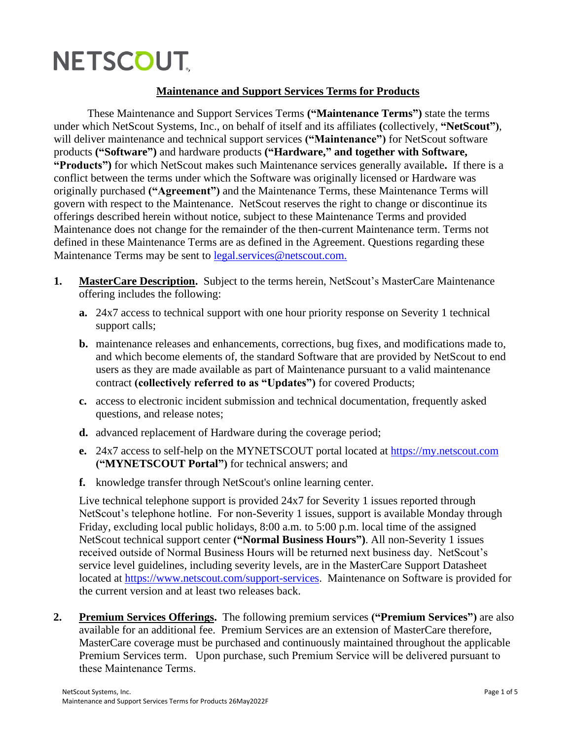## **NETSCOUT,**

## **Maintenance and Support Services Terms for Products**

These Maintenance and Support Services Terms **("Maintenance Terms")** state the terms under which NetScout Systems, Inc., on behalf of itself and its affiliates **(**collectively, **"NetScout")**, will deliver maintenance and technical support services ("Maintenance") for NetScout software products **("Software")** and hardware products **("Hardware," and together with Software, "Products")** for which NetScout makes such Maintenance services generally available**.** If there is a conflict between the terms under which the Software was originally licensed or Hardware was originally purchased **("Agreement")** and the Maintenance Terms, these Maintenance Terms will govern with respect to the Maintenance. NetScout reserves the right to change or discontinue its offerings described herein without notice, subject to these Maintenance Terms and provided Maintenance does not change for the remainder of the then-current Maintenance term. Terms not defined in these Maintenance Terms are as defined in the Agreement. Questions regarding these Maintenance Terms may be sent to [legal.services@netscout.com.](mailto:legal.services@netscout.com.)

- **1. MasterCare Description.** Subject to the terms herein, NetScout's MasterCare Maintenance offering includes the following:
	- **a.** 24x7 access to technical support with one hour priority response on Severity 1 technical support calls;
	- **b.** maintenance releases and enhancements, corrections, bug fixes, and modifications made to, and which become elements of, the standard Software that are provided by NetScout to end users as they are made available as part of Maintenance pursuant to a valid maintenance contract **(collectively referred to as "Updates")** for covered Products;
	- **c.** access to electronic incident submission and technical documentation, frequently asked questions, and release notes;
	- **d.** advanced replacement of Hardware during the coverage period;
	- **e.** 24x7 access to self-help on the MYNETSCOUT portal located at [https://my.netscout.com](https://my.netscout.com/) **("MYNETSCOUT Portal")** for technical answers; and
	- **f.** knowledge transfer through NetScout's online learning center.

Live technical telephone support is provided 24x7 for Severity 1 issues reported through NetScout's telephone hotline. For non-Severity 1 issues, support is available Monday through Friday, excluding local public holidays, 8:00 a.m. to 5:00 p.m. local time of the assigned NetScout technical support center **("Normal Business Hours")**. All non-Severity 1 issues received outside of Normal Business Hours will be returned next business day. NetScout's service level guidelines, including severity levels, are in the MasterCare Support Datasheet located at [https://www.netscout.com/support-services.](https://www.netscout.com/support-services) Maintenance on Software is provided for the current version and at least two releases back.

**2. Premium Services Offerings.** The following premium services **("Premium Services")** are also available for an additional fee. Premium Services are an extension of MasterCare therefore, MasterCare coverage must be purchased and continuously maintained throughout the applicable Premium Services term. Upon purchase, such Premium Service will be delivered pursuant to these Maintenance Terms.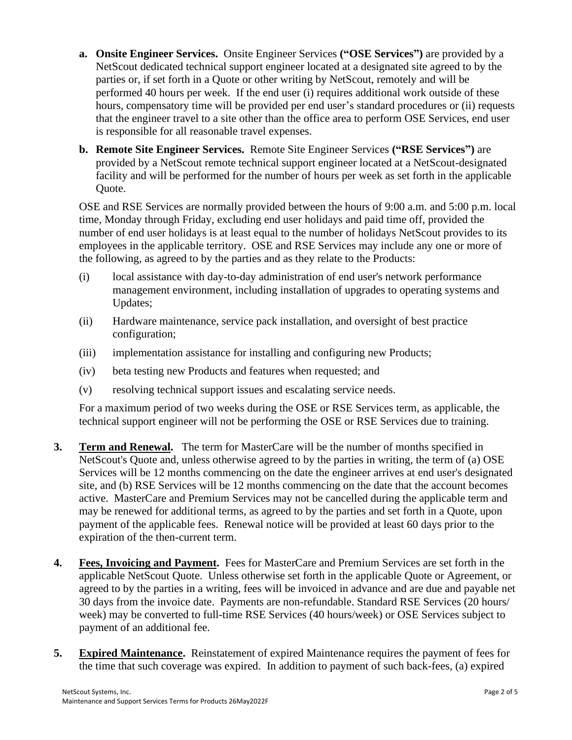- **a. Onsite Engineer Services.** Onsite Engineer Services **("OSE Services")** are provided by a NetScout dedicated technical support engineer located at a designated site agreed to by the parties or, if set forth in a Quote or other writing by NetScout, remotely and will be performed 40 hours per week. If the end user (i) requires additional work outside of these hours, compensatory time will be provided per end user's standard procedures or (ii) requests that the engineer travel to a site other than the office area to perform OSE Services, end user is responsible for all reasonable travel expenses.
- **b. Remote Site Engineer Services.** Remote Site Engineer Services **("RSE Services")** are provided by a NetScout remote technical support engineer located at a NetScout-designated facility and will be performed for the number of hours per week as set forth in the applicable Quote.

OSE and RSE Services are normally provided between the hours of 9:00 a.m. and 5:00 p.m. local time, Monday through Friday, excluding end user holidays and paid time off, provided the number of end user holidays is at least equal to the number of holidays NetScout provides to its employees in the applicable territory. OSE and RSE Services may include any one or more of the following, as agreed to by the parties and as they relate to the Products:

- (i) local assistance with day-to-day administration of end user's network performance management environment, including installation of upgrades to operating systems and Updates;
- (ii) Hardware maintenance, service pack installation, and oversight of best practice configuration;
- (iii) implementation assistance for installing and configuring new Products;
- (iv) beta testing new Products and features when requested; and
- (v) resolving technical support issues and escalating service needs.

For a maximum period of two weeks during the OSE or RSE Services term, as applicable, the technical support engineer will not be performing the OSE or RSE Services due to training.

- **3. Term and Renewal.** The term for MasterCare will be the number of months specified in NetScout's Quote and, unless otherwise agreed to by the parties in writing, the term of (a) OSE Services will be 12 months commencing on the date the engineer arrives at end user's designated site, and (b) RSE Services will be 12 months commencing on the date that the account becomes active. MasterCare and Premium Services may not be cancelled during the applicable term and may be renewed for additional terms, as agreed to by the parties and set forth in a Quote, upon payment of the applicable fees. Renewal notice will be provided at least 60 days prior to the expiration of the then-current term.
- **4. Fees, Invoicing and Payment.** Fees for MasterCare and Premium Services are set forth in the applicable NetScout Quote. Unless otherwise set forth in the applicable Quote or Agreement, or agreed to by the parties in a writing, fees will be invoiced in advance and are due and payable net 30 days from the invoice date. Payments are non-refundable. Standard RSE Services (20 hours/ week) may be converted to full-time RSE Services (40 hours/week) or OSE Services subject to payment of an additional fee.
- **5. Expired Maintenance.** Reinstatement of expired Maintenance requires the payment of fees for the time that such coverage was expired. In addition to payment of such back-fees, (a) expired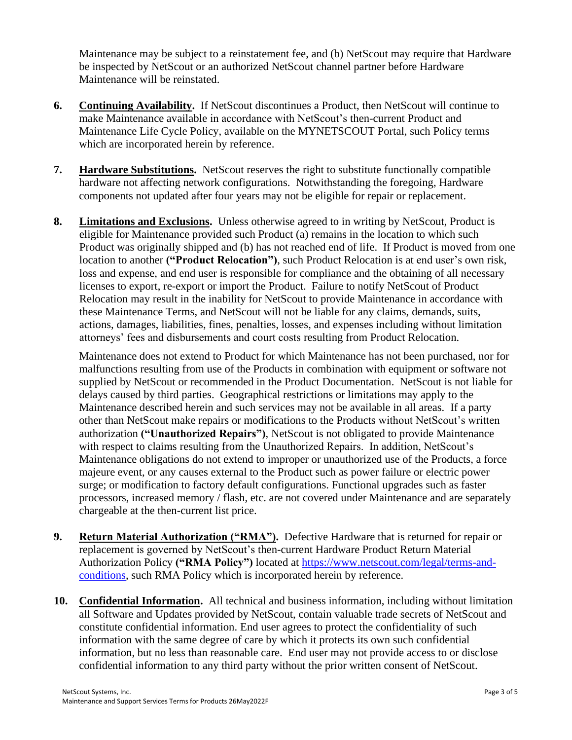Maintenance may be subject to a reinstatement fee, and (b) NetScout may require that Hardware be inspected by NetScout or an authorized NetScout channel partner before Hardware Maintenance will be reinstated.

- **6. Continuing Availability.** If NetScout discontinues a Product, then NetScout will continue to make Maintenance available in accordance with NetScout's then-current Product and Maintenance Life Cycle Policy, available on the MYNETSCOUT Portal, such Policy terms which are incorporated herein by reference.
- **7. Hardware Substitutions.** NetScout reserves the right to substitute functionally compatible hardware not affecting network configurations. Notwithstanding the foregoing, Hardware components not updated after four years may not be eligible for repair or replacement.
- **8. Limitations and Exclusions.** Unless otherwise agreed to in writing by NetScout, Product is eligible for Maintenance provided such Product (a) remains in the location to which such Product was originally shipped and (b) has not reached end of life. If Product is moved from one location to another **("Product Relocation")**, such Product Relocation is at end user's own risk, loss and expense, and end user is responsible for compliance and the obtaining of all necessary licenses to export, re-export or import the Product. Failure to notify NetScout of Product Relocation may result in the inability for NetScout to provide Maintenance in accordance with these Maintenance Terms, and NetScout will not be liable for any claims, demands, suits, actions, damages, liabilities, fines, penalties, losses, and expenses including without limitation attorneys' fees and disbursements and court costs resulting from Product Relocation.

Maintenance does not extend to Product for which Maintenance has not been purchased, nor for malfunctions resulting from use of the Products in combination with equipment or software not supplied by NetScout or recommended in the Product Documentation. NetScout is not liable for delays caused by third parties. Geographical restrictions or limitations may apply to the Maintenance described herein and such services may not be available in all areas. If a party other than NetScout make repairs or modifications to the Products without NetScout's written authorization **("Unauthorized Repairs")**, NetScout is not obligated to provide Maintenance with respect to claims resulting from the Unauthorized Repairs. In addition, NetScout's Maintenance obligations do not extend to improper or unauthorized use of the Products, a force majeure event, or any causes external to the Product such as power failure or electric power surge; or modification to factory default configurations. Functional upgrades such as faster processors, increased memory / flash, etc. are not covered under Maintenance and are separately chargeable at the then-current list price.

- **9. Return Material Authorization ("RMA").** Defective Hardware that is returned for repair or replacement is governed by NetScout's then-current Hardware Product Return Material Authorization Policy **("RMA Policy")** located at [https://www.netscout.com/legal/terms-and](https://www.netscout.com/legal/terms-and-conditions)[conditions,](https://www.netscout.com/legal/terms-and-conditions) such RMA Policy which is incorporated herein by reference.
- **10. Confidential Information.** All technical and business information, including without limitation all Software and Updates provided by NetScout, contain valuable trade secrets of NetScout and constitute confidential information. End user agrees to protect the confidentiality of such information with the same degree of care by which it protects its own such confidential information, but no less than reasonable care. End user may not provide access to or disclose confidential information to any third party without the prior written consent of NetScout.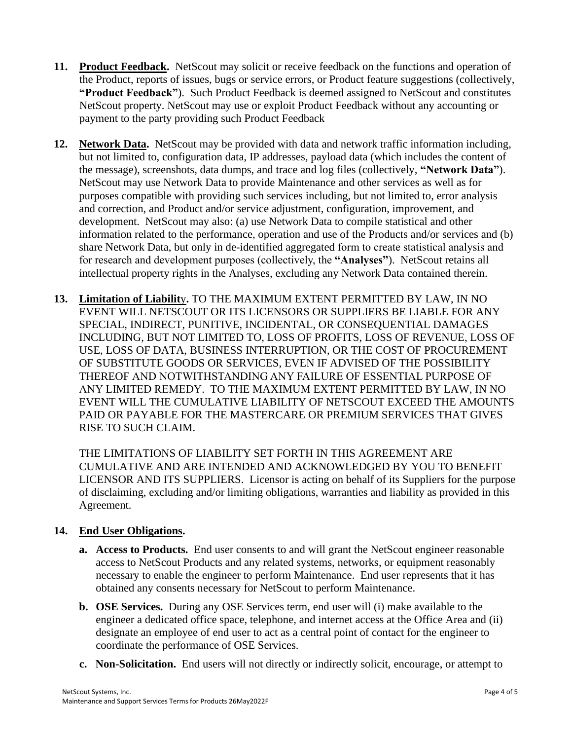- **11. Product Feedback.** NetScout may solicit or receive feedback on the functions and operation of the Product, reports of issues, bugs or service errors, or Product feature suggestions (collectively, **"Product Feedback"**). Such Product Feedback is deemed assigned to NetScout and constitutes NetScout property. NetScout may use or exploit Product Feedback without any accounting or payment to the party providing such Product Feedback
- **12. Network Data.** NetScout may be provided with data and network traffic information including, but not limited to, configuration data, IP addresses, payload data (which includes the content of the message), screenshots, data dumps, and trace and log files (collectively, **"Network Data"**). NetScout may use Network Data to provide Maintenance and other services as well as for purposes compatible with providing such services including, but not limited to, error analysis and correction, and Product and/or service adjustment, configuration, improvement, and development. NetScout may also: (a) use Network Data to compile statistical and other information related to the performance, operation and use of the Products and/or services and (b) share Network Data, but only in de-identified aggregated form to create statistical analysis and for research and development purposes (collectively, the **"Analyses"**). NetScout retains all intellectual property rights in the Analyses, excluding any Network Data contained therein.
- **13. Limitation of Liabilit**y**.** TO THE MAXIMUM EXTENT PERMITTED BY LAW, IN NO EVENT WILL NETSCOUT OR ITS LICENSORS OR SUPPLIERS BE LIABLE FOR ANY SPECIAL, INDIRECT, PUNITIVE, INCIDENTAL, OR CONSEQUENTIAL DAMAGES INCLUDING, BUT NOT LIMITED TO, LOSS OF PROFITS, LOSS OF REVENUE, LOSS OF USE, LOSS OF DATA, BUSINESS INTERRUPTION, OR THE COST OF PROCUREMENT OF SUBSTITUTE GOODS OR SERVICES, EVEN IF ADVISED OF THE POSSIBILITY THEREOF AND NOTWITHSTANDING ANY FAILURE OF ESSENTIAL PURPOSE OF ANY LIMITED REMEDY. TO THE MAXIMUM EXTENT PERMITTED BY LAW, IN NO EVENT WILL THE CUMULATIVE LIABILITY OF NETSCOUT EXCEED THE AMOUNTS PAID OR PAYABLE FOR THE MASTERCARE OR PREMIUM SERVICES THAT GIVES RISE TO SUCH CLAIM.

THE LIMITATIONS OF LIABILITY SET FORTH IN THIS AGREEMENT ARE CUMULATIVE AND ARE INTENDED AND ACKNOWLEDGED BY YOU TO BENEFIT LICENSOR AND ITS SUPPLIERS. Licensor is acting on behalf of its Suppliers for the purpose of disclaiming, excluding and/or limiting obligations, warranties and liability as provided in this Agreement.

## **14. End User Obligations.**

- **a. Access to Products.** End user consents to and will grant the NetScout engineer reasonable access to NetScout Products and any related systems, networks, or equipment reasonably necessary to enable the engineer to perform Maintenance. End user represents that it has obtained any consents necessary for NetScout to perform Maintenance.
- **b. OSE Services.** During any OSE Services term, end user will (i) make available to the engineer a dedicated office space, telephone, and internet access at the Office Area and (ii) designate an employee of end user to act as a central point of contact for the engineer to coordinate the performance of OSE Services.
- **c. Non-Solicitation.** End users will not directly or indirectly solicit, encourage, or attempt to